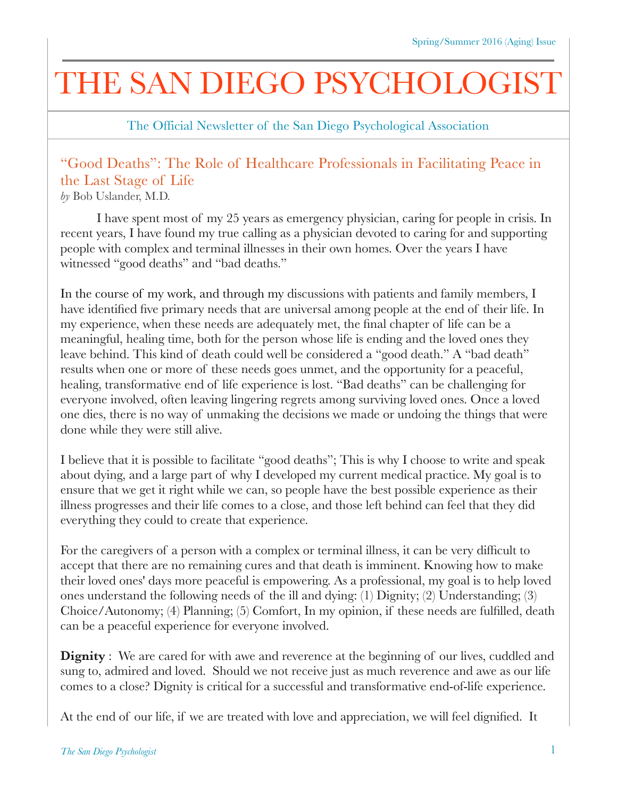## THE SAN DIEGO PSYCHOLOGIST

The Official Newsletter of the San Diego Psychological Association

## "Good Deaths": The Role of Healthcare Professionals in Facilitating Peace in the Last Stage of Life

*by* Bob Uslander, M.D.

I have spent most of my 25 years as emergency physician, caring for people in crisis. In recent years, I have found my true calling as a physician devoted to caring for and supporting people with complex and terminal illnesses in their own homes. Over the years I have witnessed "good deaths" and "bad deaths."

In the course of my work, and through my discussions with patients and family members, I have identified five primary needs that are universal among people at the end of their life. In my experience, when these needs are adequately met, the final chapter of life can be a meaningful, healing time, both for the person whose life is ending and the loved ones they leave behind. This kind of death could well be considered a "good death." A "bad death" results when one or more of these needs goes unmet, and the opportunity for a peaceful, healing, transformative end of life experience is lost. "Bad deaths" can be challenging for everyone involved, often leaving lingering regrets among surviving loved ones. Once a loved one dies, there is no way of unmaking the decisions we made or undoing the things that were done while they were still alive.

I believe that it is possible to facilitate "good deaths"; This is why I choose to write and speak about dying, and a large part of why I developed my current medical practice. My goal is to ensure that we get it right while we can, so people have the best possible experience as their illness progresses and their life comes to a close, and those left behind can feel that they did everything they could to create that experience.

For the caregivers of a person with a complex or terminal illness, it can be very difficult to accept that there are no remaining cures and that death is imminent. Knowing how to make their loved ones' days more peaceful is empowering. As a professional, my goal is to help loved ones understand the following needs of the ill and dying: (1) Dignity; (2) Understanding; (3) Choice/Autonomy; (4) Planning; (5) Comfort, In my opinion, if these needs are fulfilled, death can be a peaceful experience for everyone involved.

**Dignity** : We are cared for with awe and reverence at the beginning of our lives, cuddled and sung to, admired and loved. Should we not receive just as much reverence and awe as our life comes to a close? Dignity is critical for a successful and transformative end-of-life experience.

At the end of our life, if we are treated with love and appreciation, we will feel dignified. It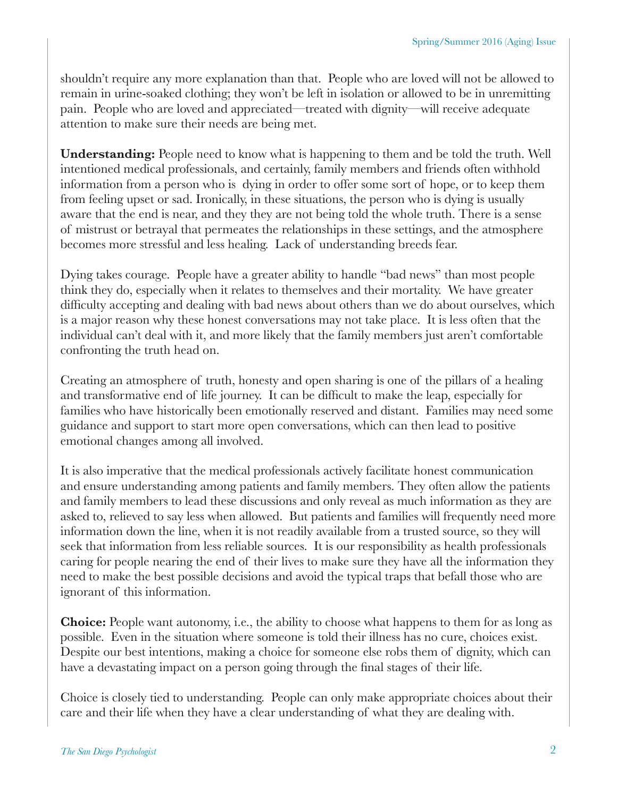shouldn't require any more explanation than that. People who are loved will not be allowed to remain in urine-soaked clothing; they won't be left in isolation or allowed to be in unremitting pain. People who are loved and appreciated—treated with dignity—will receive adequate attention to make sure their needs are being met.

**Understanding:** People need to know what is happening to them and be told the truth. Well intentioned medical professionals, and certainly, family members and friends often withhold information from a person who is dying in order to offer some sort of hope, or to keep them from feeling upset or sad. Ironically, in these situations, the person who is dying is usually aware that the end is near, and they they are not being told the whole truth. There is a sense of mistrust or betrayal that permeates the relationships in these settings, and the atmosphere becomes more stressful and less healing. Lack of understanding breeds fear.

Dying takes courage. People have a greater ability to handle "bad news" than most people think they do, especially when it relates to themselves and their mortality. We have greater difficulty accepting and dealing with bad news about others than we do about ourselves, which is a major reason why these honest conversations may not take place. It is less often that the individual can't deal with it, and more likely that the family members just aren't comfortable confronting the truth head on.

Creating an atmosphere of truth, honesty and open sharing is one of the pillars of a healing and transformative end of life journey. It can be difficult to make the leap, especially for families who have historically been emotionally reserved and distant. Families may need some guidance and support to start more open conversations, which can then lead to positive emotional changes among all involved.

It is also imperative that the medical professionals actively facilitate honest communication and ensure understanding among patients and family members. They often allow the patients and family members to lead these discussions and only reveal as much information as they are asked to, relieved to say less when allowed. But patients and families will frequently need more information down the line, when it is not readily available from a trusted source, so they will seek that information from less reliable sources. It is our responsibility as health professionals caring for people nearing the end of their lives to make sure they have all the information they need to make the best possible decisions and avoid the typical traps that befall those who are ignorant of this information.

**Choice:** People want autonomy, i.e., the ability to choose what happens to them for as long as possible. Even in the situation where someone is told their illness has no cure, choices exist. Despite our best intentions, making a choice for someone else robs them of dignity, which can have a devastating impact on a person going through the final stages of their life.

Choice is closely tied to understanding. People can only make appropriate choices about their care and their life when they have a clear understanding of what they are dealing with.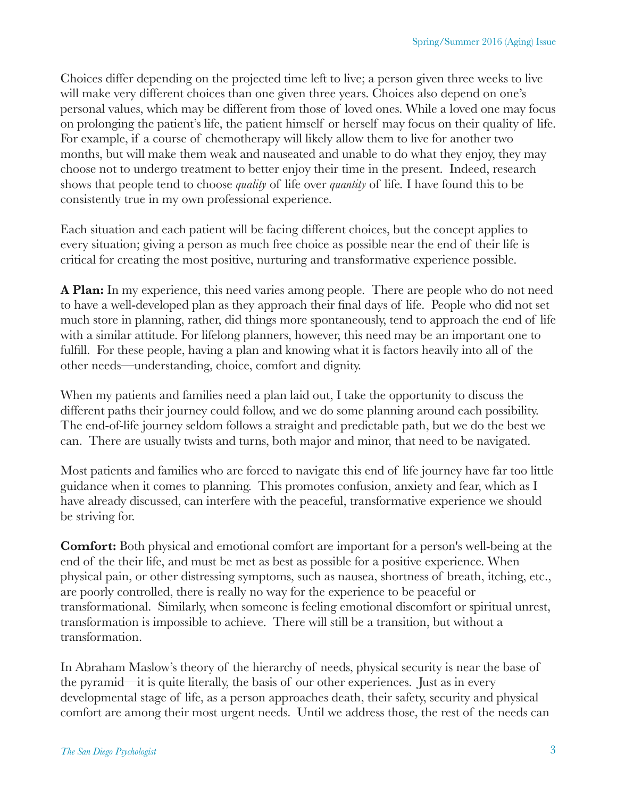Choices differ depending on the projected time left to live; a person given three weeks to live will make very different choices than one given three years. Choices also depend on one's personal values, which may be different from those of loved ones. While a loved one may focus on prolonging the patient's life, the patient himself or herself may focus on their quality of life. For example, if a course of chemotherapy will likely allow them to live for another two months, but will make them weak and nauseated and unable to do what they enjoy, they may choose not to undergo treatment to better enjoy their time in the present. Indeed, research shows that people tend to choose *quality* of life over *quantity* of life*.* I have found this to be consistently true in my own professional experience.

Each situation and each patient will be facing different choices, but the concept applies to every situation; giving a person as much free choice as possible near the end of their life is critical for creating the most positive, nurturing and transformative experience possible.

**A Plan:** In my experience, this need varies among people. There are people who do not need to have a well-developed plan as they approach their final days of life. People who did not set much store in planning, rather, did things more spontaneously, tend to approach the end of life with a similar attitude. For lifelong planners, however, this need may be an important one to fulfill. For these people, having a plan and knowing what it is factors heavily into all of the other needs—understanding, choice, comfort and dignity.

When my patients and families need a plan laid out, I take the opportunity to discuss the different paths their journey could follow, and we do some planning around each possibility. The end-of-life journey seldom follows a straight and predictable path, but we do the best we can. There are usually twists and turns, both major and minor, that need to be navigated.

Most patients and families who are forced to navigate this end of life journey have far too little guidance when it comes to planning. This promotes confusion, anxiety and fear, which as I have already discussed, can interfere with the peaceful, transformative experience we should be striving for.

**Comfort:** Both physical and emotional comfort are important for a person's well-being at the end of the their life, and must be met as best as possible for a positive experience. When physical pain, or other distressing symptoms, such as nausea, shortness of breath, itching, etc., are poorly controlled, there is really no way for the experience to be peaceful or transformational. Similarly, when someone is feeling emotional discomfort or spiritual unrest, transformation is impossible to achieve. There will still be a transition, but without a transformation.

In Abraham Maslow's theory of the hierarchy of needs, physical security is near the base of the pyramid—it is quite literally, the basis of our other experiences. Just as in every developmental stage of life, as a person approaches death, their safety, security and physical comfort are among their most urgent needs. Until we address those, the rest of the needs can